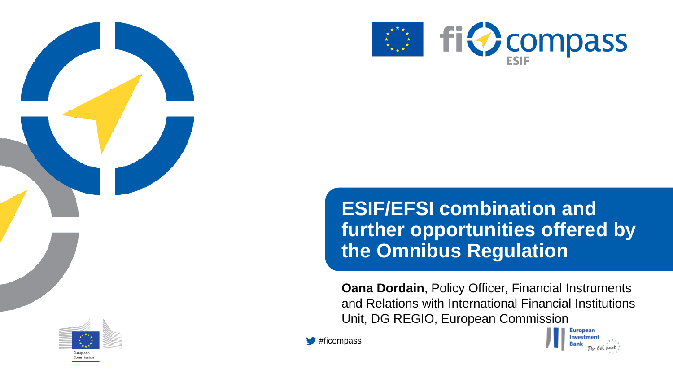



**ESIF/EFSI combination and further opportunities offered by the Omnibus Regulation**

**Oana Dordain**, Policy Officer, Financial Instruments and Relations with International Financial Institutions Unit, DG REGIO, European Commission

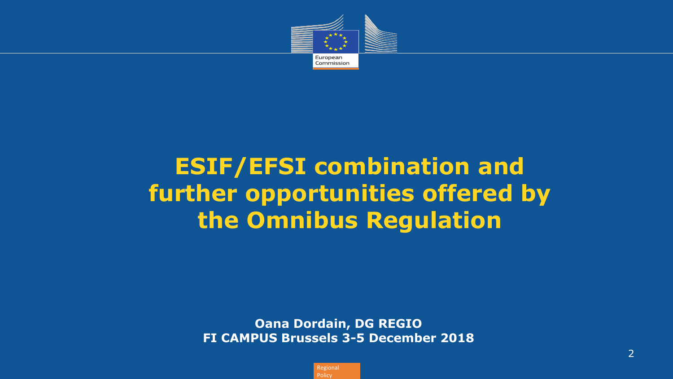

## **ESIF/EFSI combination and further opportunities offered by the Omnibus Regulation**

**Oana Dordain, DG REGIO FI CAMPUS Brussels 3-5 December 2018**

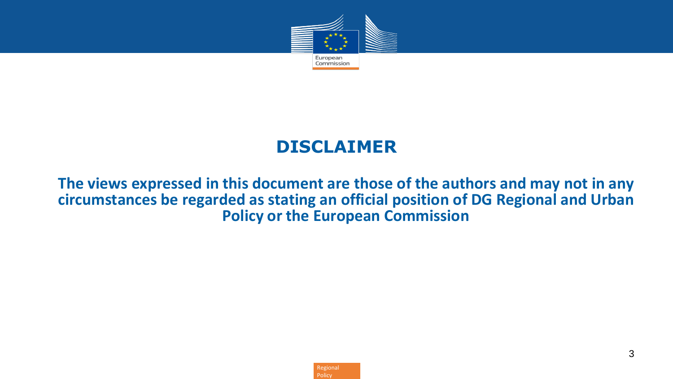

#### **DISCLAIMER**

#### **The views expressed in this document are those of the authors and may not in any circumstances be regarded as stating an official position of DG Regional and Urban Policy or the European Commission**

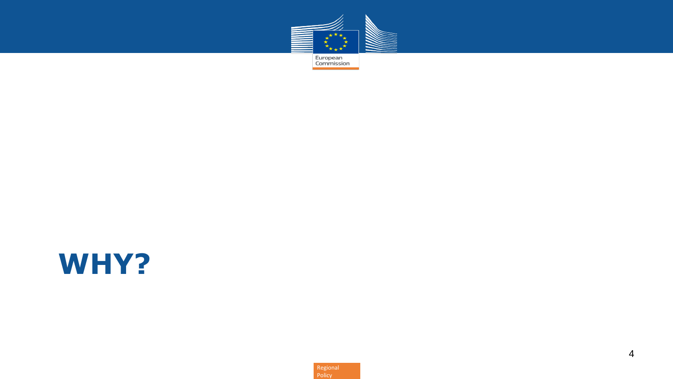

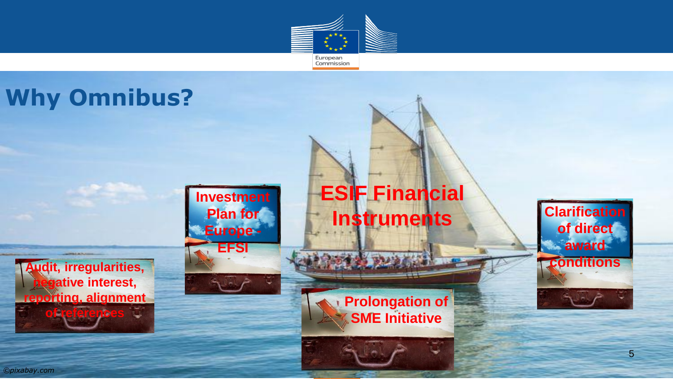



Policy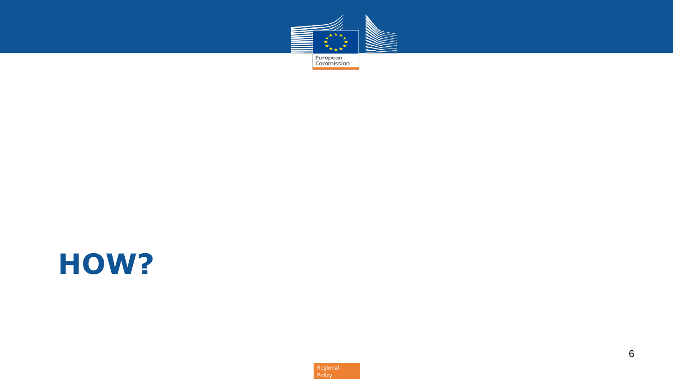

# **HOW?**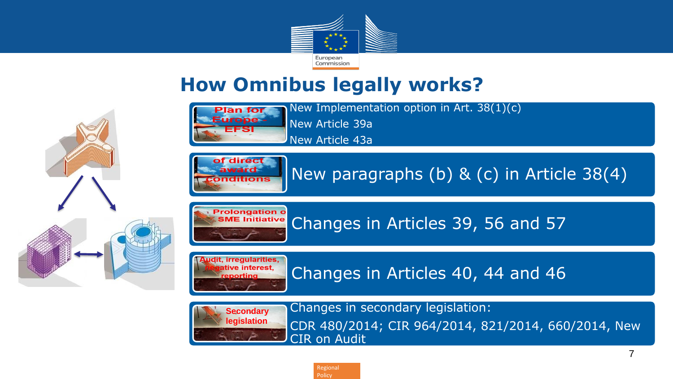

## **How Omnibus legally works?**





New paragraphs (b) & (c) in Article 38(4)



Changes in Articles 39, 56 and 57



Changes in Articles 40, 44 and 46



Changes in secondary legislation: CDR 480/2014; CIR 964/2014, 821/2014, 660/2014, New CIR on Audit



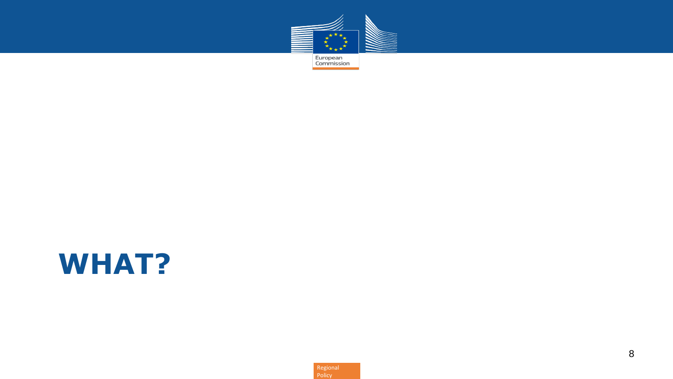

# **WHAT?**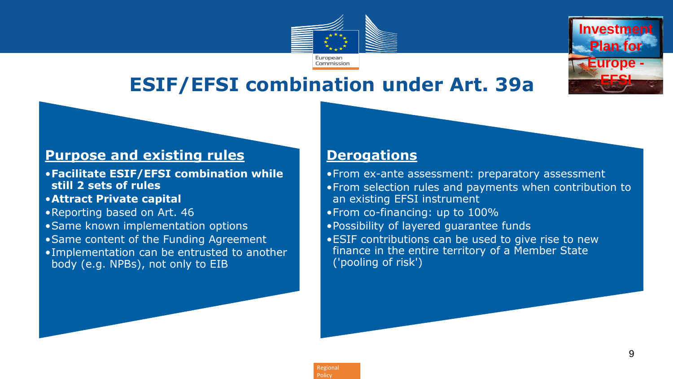

# **ESIF/EFSI combination under Art. 39a**

#### **Purpose and existing rules**

- •**Facilitate ESIF/EFSI combination while still 2 sets of rules**
- •**Attract Private capital**
- •Reporting based on Art. 46
- •Same known implementation options
- •Same content of the Funding Agreement
- •Implementation can be entrusted to another body (e.g. NPBs), not only to EIB

#### **Derogations**

- •From ex-ante assessment: preparatory assessment •From selection rules and payments when contribution to an existing EFSI instrument •From co-financing: up to 100% •Possibility of layered guarantee funds
- •ESIF contributions can be used to give rise to new finance in the entire territory of a Member State ('pooling of risk')

**Investment** 

**Plan for** 

**Europe - EFSI**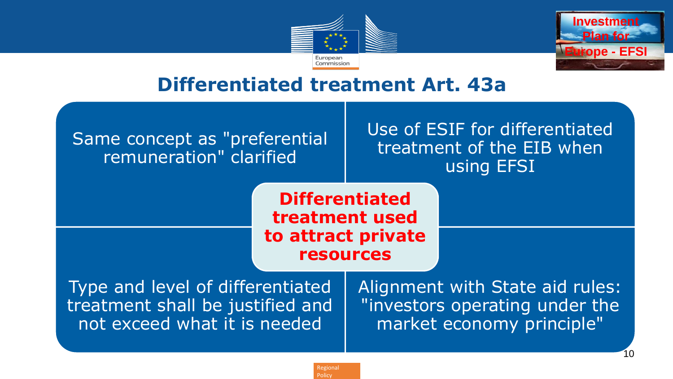



10

### **Differentiated treatment Art. 43a**

#### Same concept as "preferential remuneration" clarified

Use of ESIF for differentiated treatment of the EIB when using EFSI

**Differentiated treatment used to attract private resources**

Type and level of differentiated treatment shall be justified and not exceed what it is needed

Alignment with State aid rules: "investors operating under the market economy principle"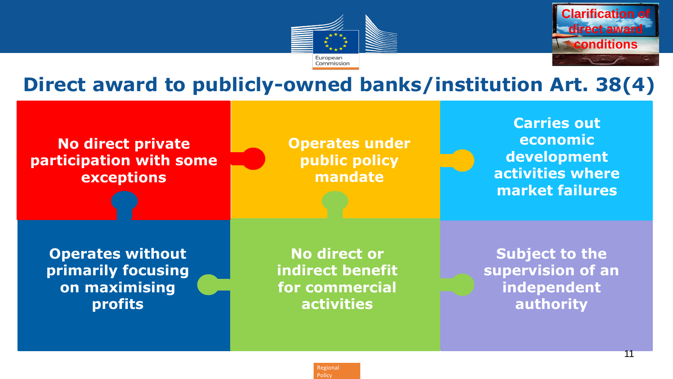



11

### **Direct award to publicly-owned banks/institution Art. 38(4)**

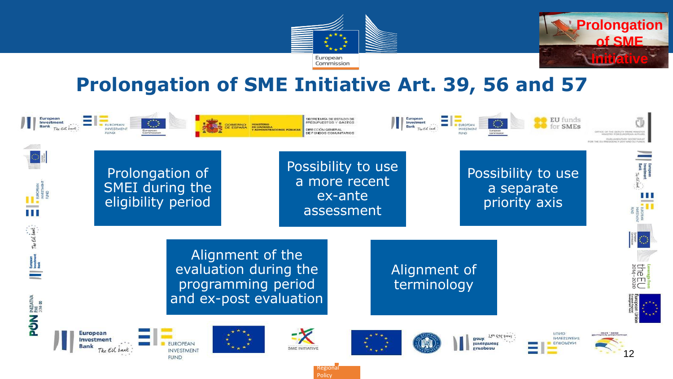



## **Prolongation of SME Initiative Art. 39, 56 and 57**

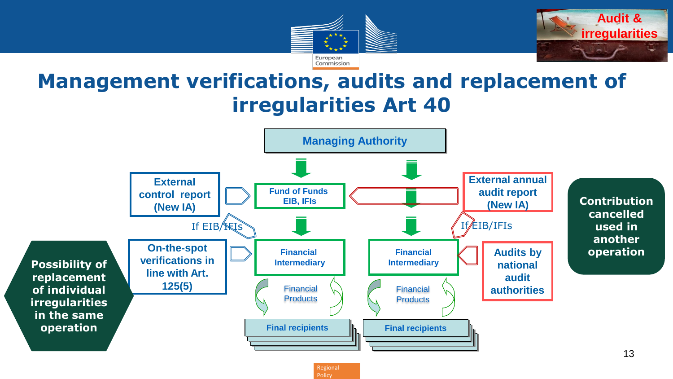



## **Management verifications, audits and replacement of irregularities Art 40**

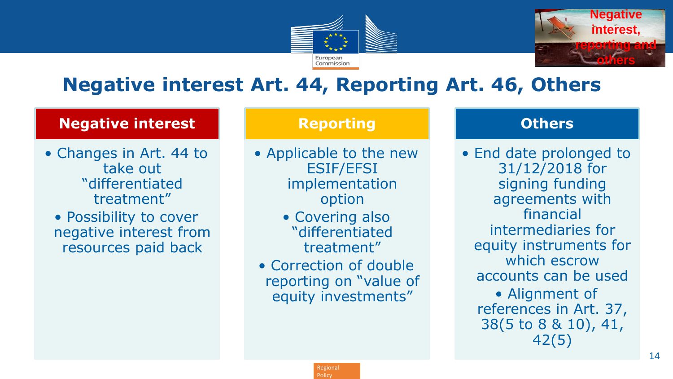



## **Negative interest Art. 44, Reporting Art. 46, Others**

#### **Negative interest**

• Changes in Art. 44 to take out "differentiated treatment"

• Possibility to cover negative interest from resources paid back

#### **Reporting**

- Applicable to the new ESIF/EFSI implementation option
	- Covering also "differentiated treatment"
- Correction of double reporting on "value of equity investments"

#### **Others**

• End date prolonged to 31/12/2018 for signing funding agreements with financial intermediaries for equity instruments for which escrow accounts can be used • Alignment of references in Art. 37, 38(5 to 8 & 10), 41, 42(5)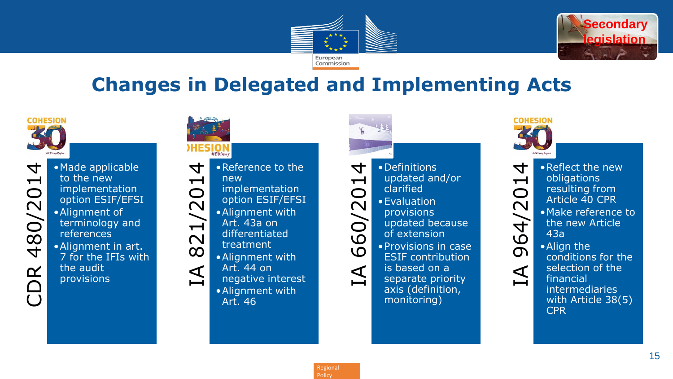



## **Changes in Delegated and Implementing Acts**



 $\overline{\mathcal{A}}$ CDR 480/2014  $\overline{\phantom{0}}$ 480/20 DR

•Made applicable to the new implementation option ESIF/EFSI •Alignment of terminology and references •Alignment in art. 7 for the IFIs with the audit provisions

| • Reference to the<br>$\blacktriangledown$<br>new<br>821/201<br>implementation<br>option ESIF/EFSI<br>• Alignment with<br>Art. 43a on<br>differentiated<br>treatment<br>• Alignment with<br>Art. 44 on<br>$\Delta$<br>negative interest<br>· Alignment with<br>Art. 46 | • Definitions<br>updated and/or<br>clarified<br>• Evaluation<br>$\overline{O}/\overline{O}$<br>provisions<br>updated because<br>of extension<br>$\overline{Q}$<br>• Provisions in case<br>$\Omega$<br><b>ESIF</b> contribution<br>is based on a<br>separate priority<br>axis (definition,<br>monitoring) | • Reflect the new<br>obligations<br>resulting from<br>$\bigcirc$<br>Article 40 CPR<br>$\overline{\mathsf{C}}$<br>• Make reference to<br>4<br>4<br>the new Article<br>43a<br>$\boldsymbol{\omega}$<br>• Align the<br>$\mathbf 0$<br>conditions for the<br>selection of the<br>$\Delta$<br>financial<br><i>intermediaries</i><br>with Article 38(5)<br><b>CPR</b> |
|------------------------------------------------------------------------------------------------------------------------------------------------------------------------------------------------------------------------------------------------------------------------|----------------------------------------------------------------------------------------------------------------------------------------------------------------------------------------------------------------------------------------------------------------------------------------------------------|-----------------------------------------------------------------------------------------------------------------------------------------------------------------------------------------------------------------------------------------------------------------------------------------------------------------------------------------------------------------|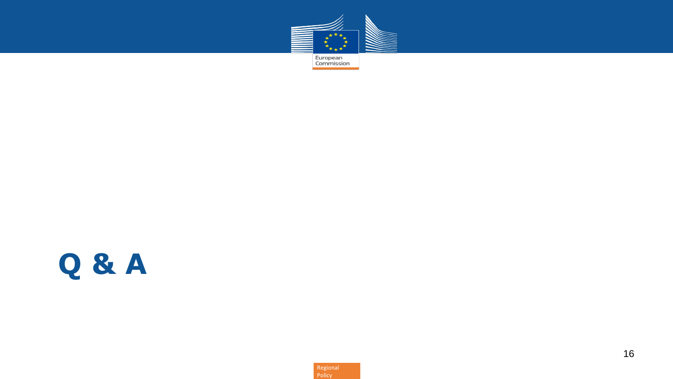

# **Q & A**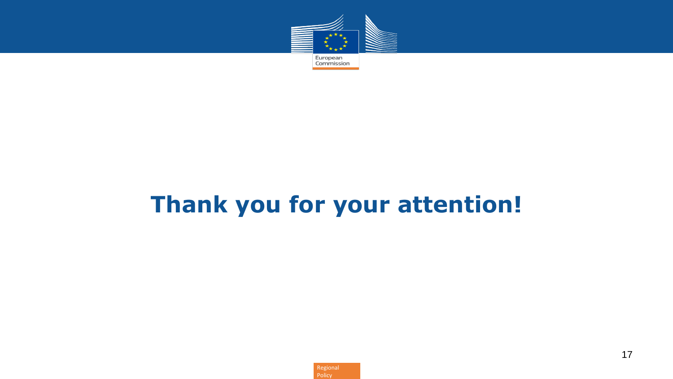

# **Thank you for your attention!**